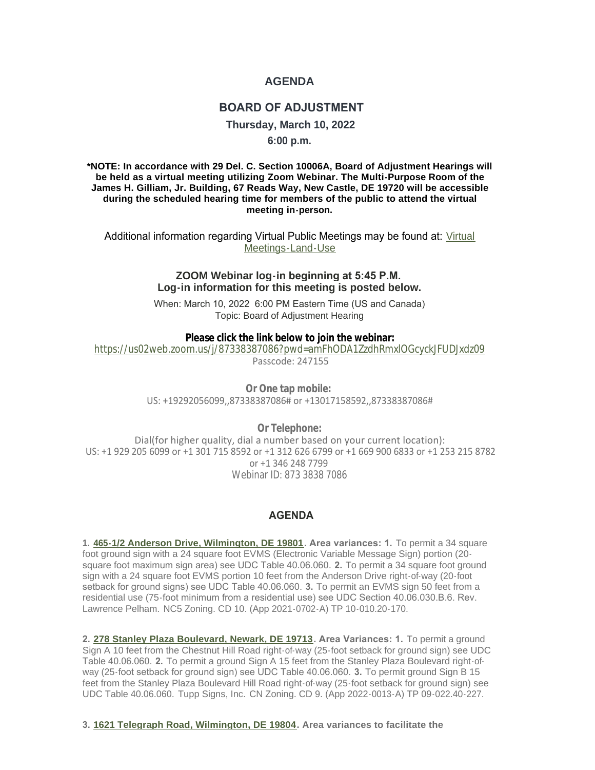## **AGENDA**

## **BOARD OF ADJUSTMENT**

**Thursday, March 10, 2022**

**6:00 p.m.**

**\*NOTE: In accordance with 29 Del. C. Section 10006A, Board of Adjustment Hearings will be held as a virtual meeting utilizing Zoom Webinar. The Multi-Purpose Room of the James H. Gilliam, Jr. Building, 67 Reads Way, New Castle, DE 19720 will be accessible during the scheduled hearing time for members of the public to attend the virtual meeting in-person.**

Additional information regarding [Virtual](https://www.nccde.org/2019/Virtual-Meetings-Land-Use) Public Meetings may be found at: Virtual Meetings-Land-Use

## **ZOOM Webinar log-in beginning at 5:45 P.M. Log-in information for this meeting is posted below.**

When: March 10, 2022 6:00 PM Eastern Time (US and Canada) Topic: Board of Adjustment Hearing

**Please click the link below to join the webinar:**

[https://us02web.zoom.us/j/87338387086?pwd=amFhODA1ZzdhRmxlOGcyckJFUDJxdz09](https://urldefense.com/v3/__https:/us02web.zoom.us/j/87338387086?pwd=amFhODA1ZzdhRmxlOGcyckJFUDJxdz09__;!!PwYEOvDHqczHRoU!Faptcmh6sriDP1jdPJi-t9ktDAwQNhXH91V61izwcXfPQVtkL4kEwSbo1d2ugCApP1G3ZO7xIA$) Passcode: 247155

> **Or One tap mobile:** US: +19292056099,,87338387086# or +13017158592,,87338387086#

> > **Or Telephone:**

 Dial(for higher quality, dial a number based on your current location): US: +1 929 205 6099 or +1 301 715 8592 or +1 312 626 6799 or +1 669 900 6833 or +1 253 215 8782 or +1 346 248 7799 Webinar ID: 873 3838 7086

## **AGENDA**

**1. [465-1/2 Anderson Drive, Wilmington, DE 19801](https://www3.newcastlede.gov/parcel/Details/Default.aspx?ParcelKey=85050). Area variances: 1.** To permit a 34 square foot ground sign with a 24 square foot EVMS (Electronic Variable Message Sign) portion (20 square foot maximum sign area) see UDC Table 40.06.060. **2.** To permit a 34 square foot ground sign with a 24 square foot EVMS portion 10 feet from the Anderson Drive right-of-way (20-foot setback for ground signs) see UDC Table 40.06.060. **3.** To permit an EVMS sign 50 feet from a residential use (75-foot minimum from a residential use) see UDC Section 40.06.030.B.6. Rev. Lawrence Pelham. NC5 Zoning. CD 10. (App 2021-0702-A) TP 10-010.20-170.

**2. [278 Stanley Plaza Boulevard, Newark, DE 19713](https://www3.newcastlede.gov/Project/details/default.aspx?ProjectKey=728316). Area Variances: 1.** To permit a ground Sign A 10 feet from the Chestnut Hill Road right-of-way (25-foot setback for ground sign) see UDC Table 40.06.060. **2.** To permit a ground Sign A 15 feet from the Stanley Plaza Boulevard right-ofway (25-foot setback for ground sign) see UDC Table 40.06.060. **3.** To permit ground Sign B 15 feet from the Stanley Plaza Boulevard Hill Road right-of-way (25-foot setback for ground sign) see UDC Table 40.06.060. Tupp Signs, Inc. CN Zoning. CD 9. (App 2022-0013-A) TP 09-022.40-227.

**3. [1621 Telegraph Road, Wilmington, DE 19804.](https://www3.newcastlede.gov/Project/details/default.aspx?ProjectKey=729497) Area variances to facilitate the**